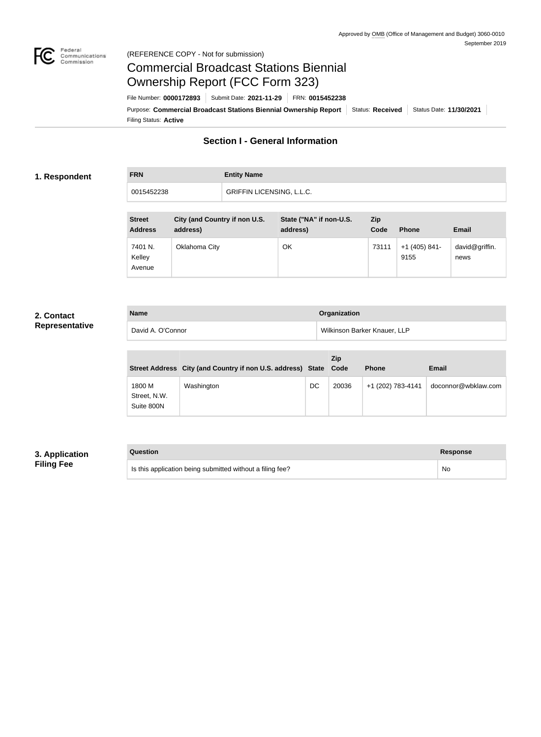

## Federal<br>Communications<br>Commission (REFERENCE COPY - Not for submission)

# Commercial Broadcast Stations Biennial Ownership Report (FCC Form 323)

Filing Status: **Active** Purpose: Commercial Broadcast Stations Biennial Ownership Report Status: Received Status Date: 11/30/2021 File Number: **0000172893** Submit Date: **2021-11-29** FRN: **0015452238**

## **Section I - General Information**

## **1. Respondent**

# **FRN Entity Name** 0015452238 GRIFFIN LICENSING, L.L.C.

| <b>Street</b><br><b>Address</b> | City (and Country if non U.S.<br>address) | State ("NA" if non-U.S.<br>address) | Zip<br>Code | <b>Phone</b>            | <b>Email</b>           |
|---------------------------------|-------------------------------------------|-------------------------------------|-------------|-------------------------|------------------------|
| 7401 N.<br>Kelley<br>Avenue     | Oklahoma City                             | OK                                  | 73111       | $+1$ (405) 841-<br>9155 | david@griffin.<br>news |

## **2. Contact Representative**

| <b>Name</b>       | Organization                 |
|-------------------|------------------------------|
| David A. O'Connor | Wilkinson Barker Knauer, LLP |

|                                      | Street Address City (and Country if non U.S. address) State Code |    | <b>Zip</b> | <b>Phone</b>      | <b>Email</b>        |
|--------------------------------------|------------------------------------------------------------------|----|------------|-------------------|---------------------|
| 1800 M<br>Street, N.W.<br>Suite 800N | Washington                                                       | DC | 20036      | +1 (202) 783-4141 | doconnor@wbklaw.com |

## **3. Application Filing Fee**

## **Question Response** Is this application being submitted without a filing fee? No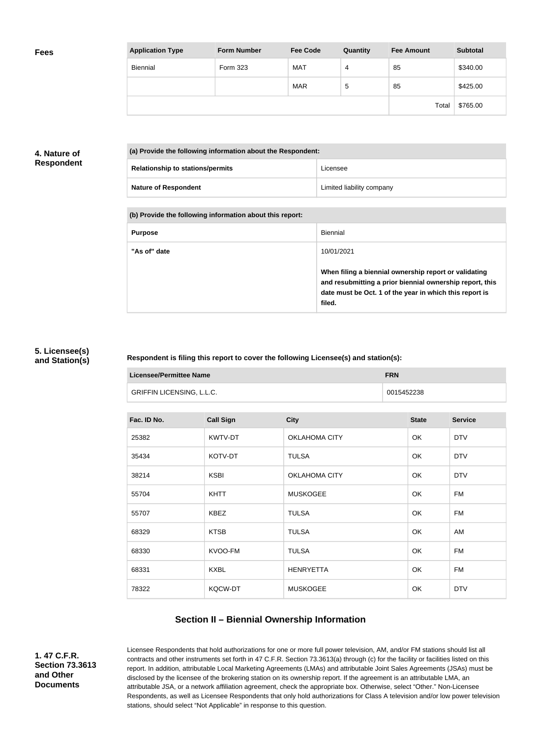| <b>Application Type</b> | <b>Form Number</b> | <b>Fee Code</b> | Quantity | <b>Fee Amount</b> | <b>Subtotal</b> |
|-------------------------|--------------------|-----------------|----------|-------------------|-----------------|
| Biennial                | <b>Form 323</b>    | <b>MAT</b>      | 4        | 85                | \$340.00        |
|                         |                    | <b>MAR</b>      | 5        | 85                | \$425.00        |
|                         |                    |                 |          | Total             | \$765.00        |

## **4. Nature of Respondent**

| (a) Provide the following information about the Respondent: |                           |  |
|-------------------------------------------------------------|---------------------------|--|
| <b>Relationship to stations/permits</b>                     | Licensee                  |  |
| <b>Nature of Respondent</b>                                 | Limited liability company |  |

#### **(b) Provide the following information about this report:**

| <b>Purpose</b> | Biennial                                                                                                                                                                               |
|----------------|----------------------------------------------------------------------------------------------------------------------------------------------------------------------------------------|
| "As of" date   | 10/01/2021                                                                                                                                                                             |
|                | When filing a biennial ownership report or validating<br>and resubmitting a prior biennial ownership report, this<br>date must be Oct. 1 of the year in which this report is<br>filed. |

#### **5. Licensee(s) and Station(s)**

#### **Respondent is filing this report to cover the following Licensee(s) and station(s):**

| <b>Licensee/Permittee Name</b> |                  |                      | <b>FRN</b> |              |                |
|--------------------------------|------------------|----------------------|------------|--------------|----------------|
| GRIFFIN LICENSING, L.L.C.      |                  |                      | 0015452238 |              |                |
|                                |                  |                      |            |              |                |
| Fac. ID No.                    | <b>Call Sign</b> | <b>City</b>          |            | <b>State</b> | <b>Service</b> |
| 25382                          | KWTV-DT          | <b>OKLAHOMA CITY</b> |            | OK           | <b>DTV</b>     |
| 35434                          | KOTV-DT          | <b>TULSA</b>         |            | OK           | <b>DTV</b>     |
| 38214                          | <b>KSBI</b>      | <b>OKLAHOMA CITY</b> |            | OK           | <b>DTV</b>     |
| 55704                          | <b>KHTT</b>      | <b>MUSKOGEE</b>      |            | OK           | <b>FM</b>      |
| 55707                          | <b>KBEZ</b>      | <b>TULSA</b>         |            | OK           | <b>FM</b>      |
| 68329                          | <b>KTSB</b>      | <b>TULSA</b>         |            | OK           | AM             |
| 68330                          | KVOO-FM          | <b>TULSA</b>         |            | OK           | <b>FM</b>      |
| 68331                          | <b>KXBL</b>      | <b>HENRYETTA</b>     |            | OK           | <b>FM</b>      |
| 78322                          | KQCW-DT          | <b>MUSKOGEE</b>      |            | OK           | <b>DTV</b>     |

## **Section II – Biennial Ownership Information**

**1. 47 C.F.R. Section 73.3613 and Other Documents**

Licensee Respondents that hold authorizations for one or more full power television, AM, and/or FM stations should list all contracts and other instruments set forth in 47 C.F.R. Section 73.3613(a) through (c) for the facility or facilities listed on this report. In addition, attributable Local Marketing Agreements (LMAs) and attributable Joint Sales Agreements (JSAs) must be disclosed by the licensee of the brokering station on its ownership report. If the agreement is an attributable LMA, an attributable JSA, or a network affiliation agreement, check the appropriate box. Otherwise, select "Other." Non-Licensee Respondents, as well as Licensee Respondents that only hold authorizations for Class A television and/or low power television stations, should select "Not Applicable" in response to this question.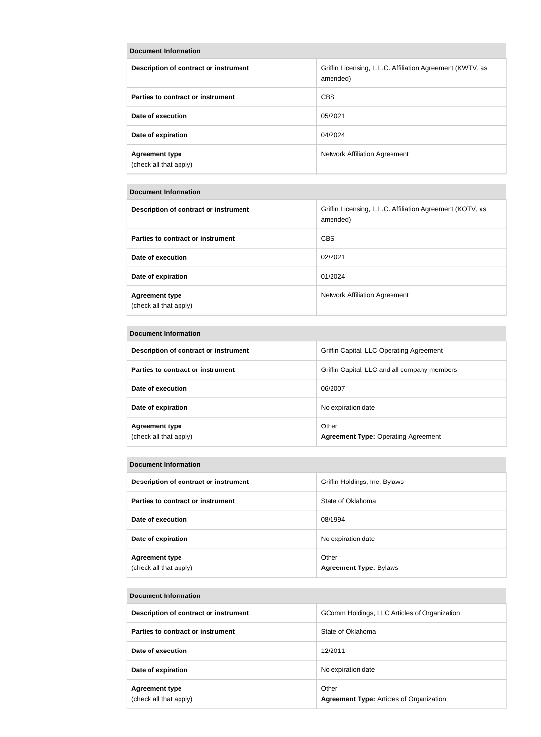| Description of contract or instrument           | Griffin Licensing, L.L.C. Affiliation Agreement (KWTV, as<br>amended) |
|-------------------------------------------------|-----------------------------------------------------------------------|
| Parties to contract or instrument               | <b>CBS</b>                                                            |
| Date of execution                               | 05/2021                                                               |
| Date of expiration                              | 04/2024                                                               |
| <b>Agreement type</b><br>(check all that apply) | <b>Network Affiliation Agreement</b>                                  |

## **Document Information**

| Description of contract or instrument           | Griffin Licensing, L.L.C. Affiliation Agreement (KOTV, as<br>amended) |
|-------------------------------------------------|-----------------------------------------------------------------------|
| Parties to contract or instrument               | <b>CBS</b>                                                            |
| Date of execution                               | 02/2021                                                               |
| Date of expiration                              | 01/2024                                                               |
| <b>Agreement type</b><br>(check all that apply) | <b>Network Affiliation Agreement</b>                                  |

#### **Document Information**

| Description of contract or instrument           | Griffin Capital, LLC Operating Agreement            |
|-------------------------------------------------|-----------------------------------------------------|
| Parties to contract or instrument               | Griffin Capital, LLC and all company members        |
| Date of execution                               | 06/2007                                             |
| Date of expiration                              | No expiration date                                  |
| <b>Agreement type</b><br>(check all that apply) | Other<br><b>Agreement Type: Operating Agreement</b> |

#### **Document Information**

| Description of contract or instrument           | Griffin Holdings, Inc. Bylaws          |
|-------------------------------------------------|----------------------------------------|
| Parties to contract or instrument               | State of Oklahoma                      |
| Date of execution                               | 08/1994                                |
| Date of expiration                              | No expiration date                     |
| <b>Agreement type</b><br>(check all that apply) | Other<br><b>Agreement Type: Bylaws</b> |

#### **Document Information**

| Description of contract or instrument           | GComm Holdings, LLC Articles of Organization             |
|-------------------------------------------------|----------------------------------------------------------|
| Parties to contract or instrument               | State of Oklahoma                                        |
| Date of execution                               | 12/2011                                                  |
| Date of expiration                              | No expiration date                                       |
| <b>Agreement type</b><br>(check all that apply) | Other<br><b>Agreement Type: Articles of Organization</b> |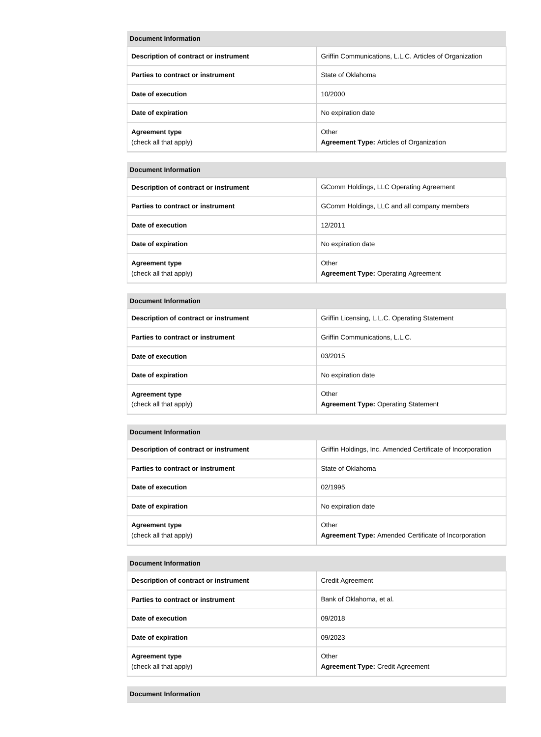| <b>Document Information</b>                     |                                                          |
|-------------------------------------------------|----------------------------------------------------------|
| Description of contract or instrument           | Griffin Communications, L.L.C. Articles of Organization  |
| Parties to contract or instrument               | State of Oklahoma                                        |
| Date of execution                               | 10/2000                                                  |
| Date of expiration                              | No expiration date                                       |
| <b>Agreement type</b><br>(check all that apply) | Other<br><b>Agreement Type:</b> Articles of Organization |

| <b>Document Information</b>                     |                                                     |
|-------------------------------------------------|-----------------------------------------------------|
| Description of contract or instrument           | GComm Holdings, LLC Operating Agreement             |
| Parties to contract or instrument               | GComm Holdings, LLC and all company members         |
| Date of execution                               | 12/2011                                             |
| Date of expiration                              | No expiration date                                  |
| <b>Agreement type</b><br>(check all that apply) | Other<br><b>Agreement Type: Operating Agreement</b> |

| <b>Description of contract or instrument</b>    | Griffin Licensing, L.L.C. Operating Statement       |
|-------------------------------------------------|-----------------------------------------------------|
| Parties to contract or instrument               | Griffin Communications, L.L.C.                      |
| Date of execution                               | 03/2015                                             |
| Date of expiration                              | No expiration date                                  |
| <b>Agreement type</b><br>(check all that apply) | Other<br><b>Agreement Type: Operating Statement</b> |

#### **Document Information**

| Description of contract or instrument           | Griffin Holdings, Inc. Amended Certificate of Incorporation          |
|-------------------------------------------------|----------------------------------------------------------------------|
| Parties to contract or instrument               | State of Oklahoma                                                    |
| Date of execution                               | 02/1995                                                              |
| Date of expiration                              | No expiration date                                                   |
| <b>Agreement type</b><br>(check all that apply) | Other<br><b>Agreement Type:</b> Amended Certificate of Incorporation |

#### **Document Information**

| Description of contract or instrument           | Credit Agreement                                 |
|-------------------------------------------------|--------------------------------------------------|
| Parties to contract or instrument               | Bank of Oklahoma, et al.                         |
| Date of execution                               | 09/2018                                          |
| Date of expiration                              | 09/2023                                          |
| <b>Agreement type</b><br>(check all that apply) | Other<br><b>Agreement Type: Credit Agreement</b> |

#### **Document Information**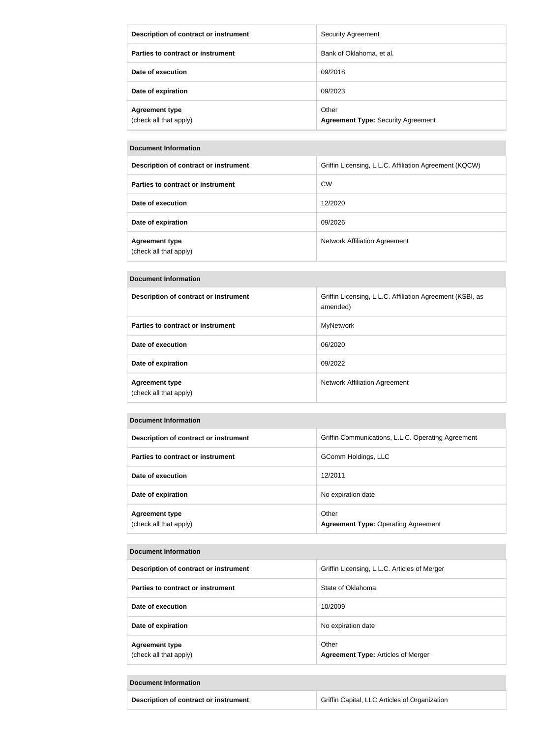| Description of contract or instrument           | <b>Security Agreement</b>                          |
|-------------------------------------------------|----------------------------------------------------|
| Parties to contract or instrument               | Bank of Oklahoma, et al.                           |
| Date of execution                               | 09/2018                                            |
| Date of expiration                              | 09/2023                                            |
| <b>Agreement type</b><br>(check all that apply) | Other<br><b>Agreement Type: Security Agreement</b> |

| Description of contract or instrument           | Griffin Licensing, L.L.C. Affiliation Agreement (KQCW) |
|-------------------------------------------------|--------------------------------------------------------|
| Parties to contract or instrument               | <b>CW</b>                                              |
| Date of execution                               | 12/2020                                                |
| Date of expiration                              | 09/2026                                                |
| <b>Agreement type</b><br>(check all that apply) | Network Affiliation Agreement                          |

#### **Document Information**

| Description of contract or instrument           | Griffin Licensing, L.L.C. Affiliation Agreement (KSBI, as<br>amended) |
|-------------------------------------------------|-----------------------------------------------------------------------|
| Parties to contract or instrument               | <b>MyNetwork</b>                                                      |
| Date of execution                               | 06/2020                                                               |
| Date of expiration                              | 09/2022                                                               |
| <b>Agreement type</b><br>(check all that apply) | Network Affiliation Agreement                                         |

#### **Document Information**

| Description of contract or instrument           | Griffin Communications, L.L.C. Operating Agreement  |
|-------------------------------------------------|-----------------------------------------------------|
| Parties to contract or instrument               | GComm Holdings, LLC                                 |
| Date of execution                               | 12/2011                                             |
| Date of expiration                              | No expiration date                                  |
| <b>Agreement type</b><br>(check all that apply) | Other<br><b>Agreement Type: Operating Agreement</b> |

#### **Document Information**

| Description of contract or instrument           | Griffin Licensing, L.L.C. Articles of Merger       |
|-------------------------------------------------|----------------------------------------------------|
| Parties to contract or instrument               | State of Oklahoma                                  |
| Date of execution                               | 10/2009                                            |
| Date of expiration                              | No expiration date                                 |
| <b>Agreement type</b><br>(check all that apply) | Other<br><b>Agreement Type: Articles of Merger</b> |

#### **Document Information**

| Description of contract or instrument | Griffin Capital, LLC Articles of Organization |
|---------------------------------------|-----------------------------------------------|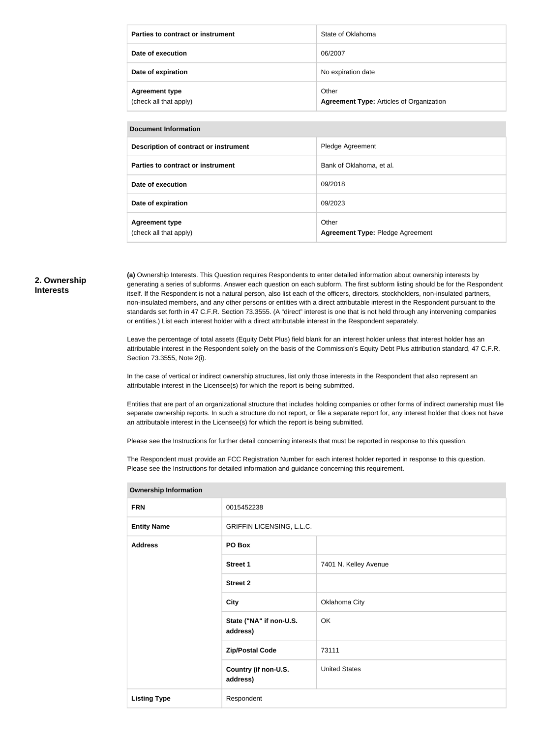| Parties to contract or instrument               | State of Oklahoma                                        |
|-------------------------------------------------|----------------------------------------------------------|
| Date of execution                               | 06/2007                                                  |
| Date of expiration                              | No expiration date                                       |
| <b>Agreement type</b><br>(check all that apply) | Other<br><b>Agreement Type:</b> Articles of Organization |

| Description of contract or instrument           | Pledge Agreement                          |
|-------------------------------------------------|-------------------------------------------|
| Parties to contract or instrument               | Bank of Oklahoma, et al.                  |
| Date of execution                               | 09/2018                                   |
| Date of expiration                              | 09/2023                                   |
| <b>Agreement type</b><br>(check all that apply) | Other<br>Agreement Type: Pledge Agreement |

#### **2. Ownership Interests**

**(a)** Ownership Interests. This Question requires Respondents to enter detailed information about ownership interests by generating a series of subforms. Answer each question on each subform. The first subform listing should be for the Respondent itself. If the Respondent is not a natural person, also list each of the officers, directors, stockholders, non-insulated partners, non-insulated members, and any other persons or entities with a direct attributable interest in the Respondent pursuant to the standards set forth in 47 C.F.R. Section 73.3555. (A "direct" interest is one that is not held through any intervening companies or entities.) List each interest holder with a direct attributable interest in the Respondent separately.

Leave the percentage of total assets (Equity Debt Plus) field blank for an interest holder unless that interest holder has an attributable interest in the Respondent solely on the basis of the Commission's Equity Debt Plus attribution standard, 47 C.F.R. Section 73.3555, Note 2(i).

In the case of vertical or indirect ownership structures, list only those interests in the Respondent that also represent an attributable interest in the Licensee(s) for which the report is being submitted.

Entities that are part of an organizational structure that includes holding companies or other forms of indirect ownership must file separate ownership reports. In such a structure do not report, or file a separate report for, any interest holder that does not have an attributable interest in the Licensee(s) for which the report is being submitted.

Please see the Instructions for further detail concerning interests that must be reported in response to this question.

The Respondent must provide an FCC Registration Number for each interest holder reported in response to this question. Please see the Instructions for detailed information and guidance concerning this requirement.

| $5.000$ cmp moderation |                                     |                       |
|------------------------|-------------------------------------|-----------------------|
| <b>FRN</b>             | 0015452238                          |                       |
| <b>Entity Name</b>     | GRIFFIN LICENSING, L.L.C.           |                       |
| <b>Address</b>         | PO Box                              |                       |
|                        | <b>Street 1</b>                     | 7401 N. Kelley Avenue |
|                        | <b>Street 2</b>                     |                       |
|                        | <b>City</b>                         | Oklahoma City         |
|                        | State ("NA" if non-U.S.<br>address) | OK                    |
|                        | <b>Zip/Postal Code</b>              | 73111                 |
|                        | Country (if non-U.S.<br>address)    | <b>United States</b>  |
| <b>Listing Type</b>    | Respondent                          |                       |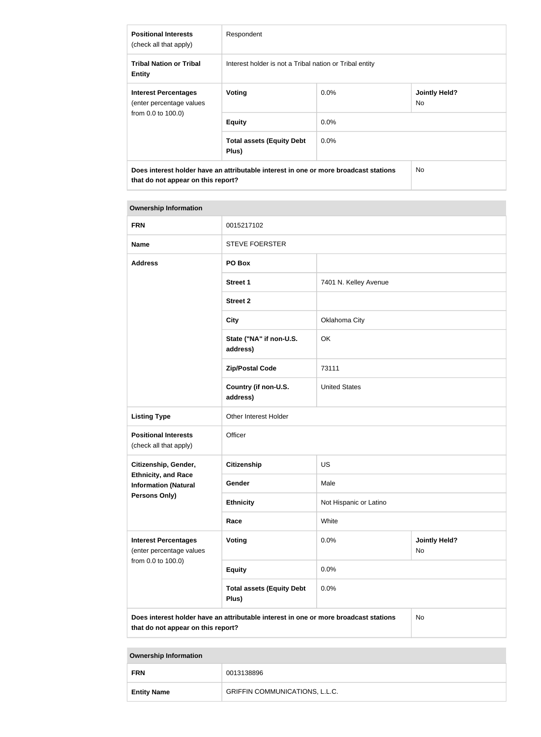| <b>Positional Interests</b><br>(check all that apply)                                                                      | Respondent                                              |         |                             |
|----------------------------------------------------------------------------------------------------------------------------|---------------------------------------------------------|---------|-----------------------------|
| <b>Tribal Nation or Tribal</b><br><b>Entity</b>                                                                            | Interest holder is not a Tribal nation or Tribal entity |         |                             |
| <b>Interest Percentages</b><br>(enter percentage values<br>from 0.0 to 100.0)                                              | Voting                                                  | $0.0\%$ | <b>Jointly Held?</b><br>No. |
|                                                                                                                            | <b>Equity</b>                                           | $0.0\%$ |                             |
|                                                                                                                            | <b>Total assets (Equity Debt</b><br>Plus)               | $0.0\%$ |                             |
| Does interest holder have an attributable interest in one or more broadcast stations<br>that do not appear on this report? |                                                         | No.     |                             |

#### **Ownership Information**

| <b>FRN</b>                                                                                                                       | 0015217102                                |                        |                            |
|----------------------------------------------------------------------------------------------------------------------------------|-------------------------------------------|------------------------|----------------------------|
| <b>Name</b>                                                                                                                      | <b>STEVE FOERSTER</b>                     |                        |                            |
| <b>Address</b>                                                                                                                   | PO Box                                    |                        |                            |
|                                                                                                                                  | <b>Street 1</b>                           | 7401 N. Kelley Avenue  |                            |
|                                                                                                                                  | <b>Street 2</b>                           |                        |                            |
|                                                                                                                                  | <b>City</b>                               | Oklahoma City          |                            |
|                                                                                                                                  | State ("NA" if non-U.S.<br>address)       | OK                     |                            |
|                                                                                                                                  | <b>Zip/Postal Code</b>                    | 73111                  |                            |
|                                                                                                                                  | Country (if non-U.S.<br>address)          | <b>United States</b>   |                            |
| <b>Listing Type</b>                                                                                                              | Other Interest Holder                     |                        |                            |
| <b>Positional Interests</b><br>(check all that apply)                                                                            | Officer                                   |                        |                            |
| Citizenship, Gender,                                                                                                             | <b>Citizenship</b>                        | <b>US</b>              |                            |
| <b>Ethnicity, and Race</b><br><b>Information (Natural</b>                                                                        | Gender                                    | Male                   |                            |
| <b>Persons Only)</b>                                                                                                             | <b>Ethnicity</b>                          | Not Hispanic or Latino |                            |
|                                                                                                                                  | Race                                      | White                  |                            |
| <b>Interest Percentages</b><br>(enter percentage values<br>from 0.0 to 100.0)                                                    | Voting                                    | 0.0%                   | <b>Jointly Held?</b><br>No |
|                                                                                                                                  | <b>Equity</b>                             | 0.0%                   |                            |
|                                                                                                                                  | <b>Total assets (Equity Debt</b><br>Plus) | 0.0%                   |                            |
| Does interest holder have an attributable interest in one or more broadcast stations<br>No<br>that do not appear on this report? |                                           |                        |                            |

| <b>FRN</b>         | 0013138896                            |
|--------------------|---------------------------------------|
| <b>Entity Name</b> | <b>GRIFFIN COMMUNICATIONS, L.L.C.</b> |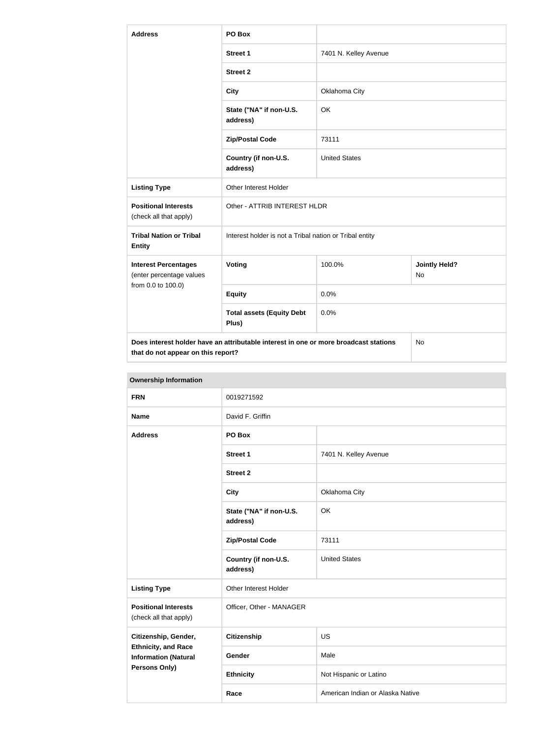| <b>Address</b>                                          | PO Box                                                                               |                       |                            |
|---------------------------------------------------------|--------------------------------------------------------------------------------------|-----------------------|----------------------------|
|                                                         | <b>Street 1</b>                                                                      | 7401 N. Kelley Avenue |                            |
|                                                         | <b>Street 2</b>                                                                      |                       |                            |
|                                                         | <b>City</b>                                                                          | Oklahoma City         |                            |
|                                                         | State ("NA" if non-U.S.<br>address)                                                  | OK                    |                            |
|                                                         | <b>Zip/Postal Code</b>                                                               | 73111                 |                            |
|                                                         | Country (if non-U.S.<br>address)                                                     | <b>United States</b>  |                            |
| <b>Listing Type</b>                                     | Other Interest Holder                                                                |                       |                            |
| <b>Positional Interests</b><br>(check all that apply)   | Other - ATTRIB INTEREST HLDR                                                         |                       |                            |
| <b>Tribal Nation or Tribal</b><br><b>Entity</b>         | Interest holder is not a Tribal nation or Tribal entity                              |                       |                            |
| <b>Interest Percentages</b><br>(enter percentage values | <b>Voting</b>                                                                        | 100.0%                | <b>Jointly Held?</b><br>No |
| from 0.0 to 100.0)                                      | <b>Equity</b>                                                                        | 0.0%                  |                            |
|                                                         | <b>Total assets (Equity Debt</b><br>Plus)                                            | 0.0%                  |                            |
| that do not appear on this report?                      | Does interest holder have an attributable interest in one or more broadcast stations |                       | N <sub>o</sub>             |

| <b>Ownership Information</b>                                                      |                                     |                                  |  |
|-----------------------------------------------------------------------------------|-------------------------------------|----------------------------------|--|
| <b>FRN</b>                                                                        | 0019271592                          |                                  |  |
| <b>Name</b>                                                                       | David F. Griffin                    |                                  |  |
| <b>Address</b>                                                                    | PO Box                              |                                  |  |
|                                                                                   | <b>Street 1</b>                     | 7401 N. Kelley Avenue            |  |
|                                                                                   | <b>Street 2</b>                     |                                  |  |
|                                                                                   | <b>City</b>                         | Oklahoma City                    |  |
|                                                                                   | State ("NA" if non-U.S.<br>address) | OK                               |  |
|                                                                                   | <b>Zip/Postal Code</b>              | 73111                            |  |
|                                                                                   | Country (if non-U.S.<br>address)    | <b>United States</b>             |  |
| <b>Listing Type</b>                                                               | Other Interest Holder               |                                  |  |
| <b>Positional Interests</b><br>(check all that apply)                             | Officer, Other - MANAGER            |                                  |  |
| Citizenship, Gender,                                                              | <b>Citizenship</b>                  | <b>US</b>                        |  |
| <b>Ethnicity, and Race</b><br><b>Information (Natural</b><br><b>Persons Only)</b> | Gender                              | Male                             |  |
|                                                                                   | <b>Ethnicity</b>                    | Not Hispanic or Latino           |  |
|                                                                                   | Race                                | American Indian or Alaska Native |  |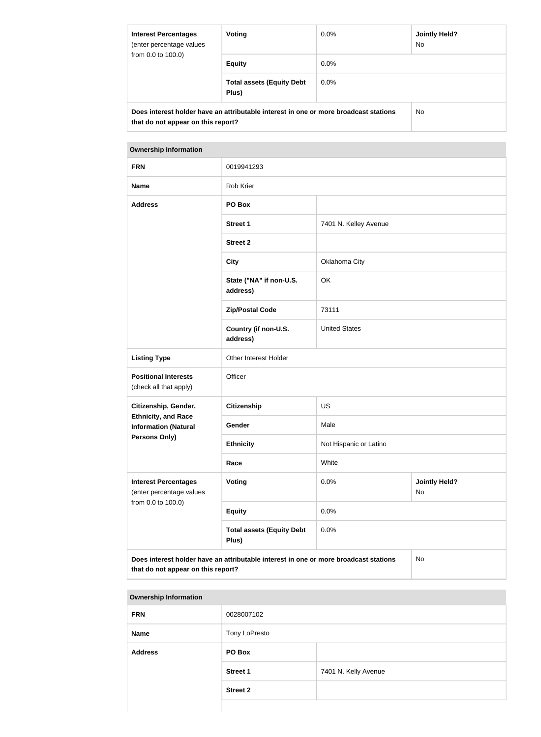| <b>Interest Percentages</b><br>(enter percentage values<br>from 0.0 to 100.0)                                              | Voting                                    | $0.0\%$ | <b>Jointly Held?</b><br>No. |
|----------------------------------------------------------------------------------------------------------------------------|-------------------------------------------|---------|-----------------------------|
|                                                                                                                            | <b>Equity</b>                             | $0.0\%$ |                             |
|                                                                                                                            | <b>Total assets (Equity Debt</b><br>Plus) | $0.0\%$ |                             |
| Does interest holder have an attributable interest in one or more broadcast stations<br>that do not appear on this report? |                                           |         | No.                         |

| <b>FRN</b>                                                                    | 0019941293                                                                           |                                    |           |
|-------------------------------------------------------------------------------|--------------------------------------------------------------------------------------|------------------------------------|-----------|
| <b>Name</b>                                                                   | Rob Krier                                                                            |                                    |           |
| <b>Address</b>                                                                | PO Box                                                                               |                                    |           |
|                                                                               | <b>Street 1</b>                                                                      | 7401 N. Kelley Avenue              |           |
|                                                                               | <b>Street 2</b>                                                                      |                                    |           |
|                                                                               | <b>City</b>                                                                          | Oklahoma City                      |           |
|                                                                               | State ("NA" if non-U.S.<br>address)                                                  | OK                                 |           |
|                                                                               | <b>Zip/Postal Code</b>                                                               | 73111                              |           |
|                                                                               | Country (if non-U.S.<br>address)                                                     | <b>United States</b>               |           |
| <b>Listing Type</b>                                                           | Other Interest Holder                                                                |                                    |           |
| <b>Positional Interests</b><br>(check all that apply)                         | Officer                                                                              |                                    |           |
| Citizenship, Gender,                                                          | <b>Citizenship</b>                                                                   | <b>US</b>                          |           |
| <b>Ethnicity, and Race</b><br><b>Information (Natural</b>                     | Gender                                                                               | Male                               |           |
| <b>Persons Only)</b>                                                          | <b>Ethnicity</b>                                                                     | Not Hispanic or Latino             |           |
|                                                                               | Race                                                                                 | White                              |           |
| <b>Interest Percentages</b><br>(enter percentage values<br>from 0.0 to 100.0) | <b>Voting</b>                                                                        | 0.0%<br><b>Jointly Held?</b><br>No |           |
|                                                                               | <b>Equity</b>                                                                        | 0.0%                               |           |
|                                                                               | <b>Total assets (Equity Debt</b><br>Plus)                                            | 0.0%                               |           |
| that do not appear on this report?                                            | Does interest holder have an attributable interest in one or more broadcast stations |                                    | <b>No</b> |

| <b>Ownership Information</b> |                 |                      |
|------------------------------|-----------------|----------------------|
| <b>FRN</b>                   | 0028007102      |                      |
| <b>Name</b>                  | Tony LoPresto   |                      |
| <b>Address</b>               | PO Box          |                      |
|                              | <b>Street 1</b> | 7401 N. Kelly Avenue |
|                              | <b>Street 2</b> |                      |
|                              |                 |                      |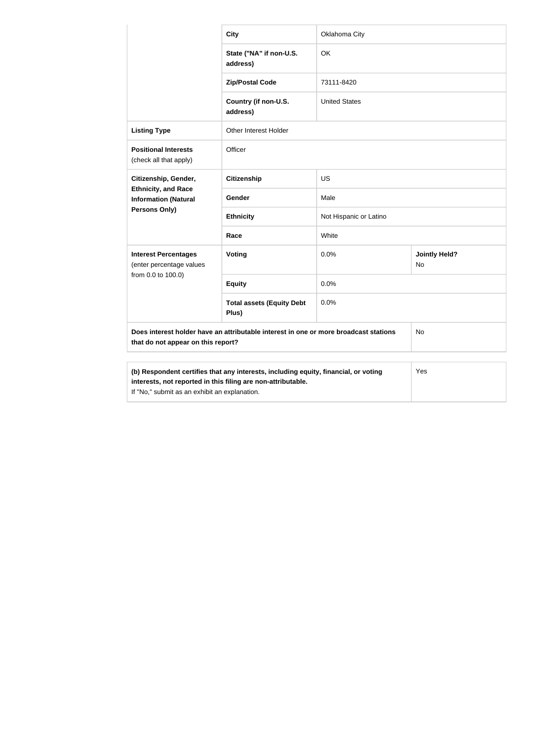|                                                                                                                            | <b>City</b>                                                                         | Oklahoma City          |                            |
|----------------------------------------------------------------------------------------------------------------------------|-------------------------------------------------------------------------------------|------------------------|----------------------------|
|                                                                                                                            | State ("NA" if non-U.S.<br>address)                                                 | OK                     |                            |
|                                                                                                                            | <b>Zip/Postal Code</b>                                                              | 73111-8420             |                            |
|                                                                                                                            | Country (if non-U.S.<br>address)                                                    | <b>United States</b>   |                            |
| <b>Listing Type</b>                                                                                                        | Other Interest Holder                                                               |                        |                            |
| <b>Positional Interests</b><br>(check all that apply)                                                                      | Officer                                                                             |                        |                            |
| Citizenship, Gender,                                                                                                       | <b>Citizenship</b>                                                                  | <b>US</b>              |                            |
| <b>Ethnicity, and Race</b><br><b>Information (Natural</b><br>Persons Only)                                                 | Gender                                                                              | Male                   |                            |
|                                                                                                                            | <b>Ethnicity</b>                                                                    | Not Hispanic or Latino |                            |
|                                                                                                                            | Race                                                                                | White                  |                            |
| <b>Interest Percentages</b><br>(enter percentage values                                                                    | Voting                                                                              | 0.0%                   | <b>Jointly Held?</b><br>No |
| from 0.0 to 100.0)                                                                                                         | <b>Equity</b>                                                                       | 0.0%                   |                            |
| <b>Total assets (Equity Debt</b><br>Plus)                                                                                  |                                                                                     | 0.0%                   |                            |
| Does interest holder have an attributable interest in one or more broadcast stations<br>that do not appear on this report? |                                                                                     |                        | No                         |
| interests, not reported in this filing are non-attributable.<br>If "No," submit as an exhibit an explanation.              | (b) Respondent certifies that any interests, including equity, financial, or voting |                        | Yes                        |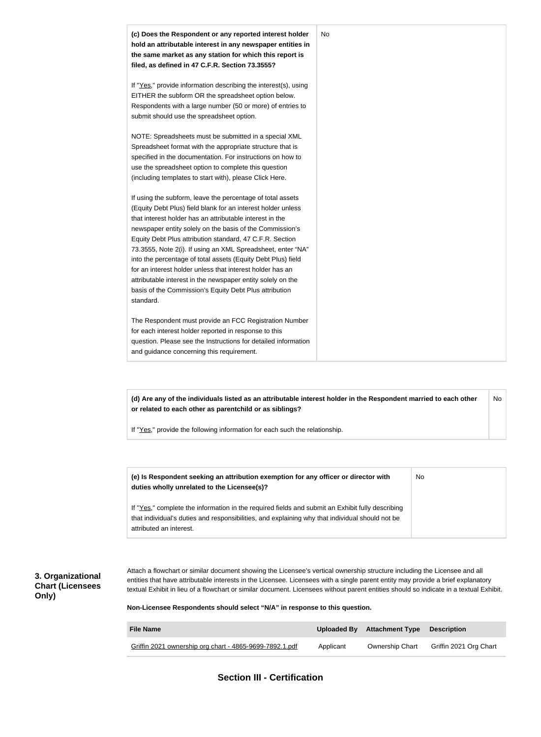

**(d) Are any of the individuals listed as an attributable interest holder in the Respondent married to each other or related to each other as parentchild or as siblings?** No

If "Yes," provide the following information for each such the relationship.

| (e) Is Respondent seeking an attribution exemption for any officer or director with<br>duties wholly unrelated to the Licensee(s)?                                                                                             | No |
|--------------------------------------------------------------------------------------------------------------------------------------------------------------------------------------------------------------------------------|----|
| If "Yes," complete the information in the required fields and submit an Exhibit fully describing<br>that individual's duties and responsibilities, and explaining why that individual should not be<br>attributed an interest. |    |

## **3. Organizational Chart (Licensees Only)**

Attach a flowchart or similar document showing the Licensee's vertical ownership structure including the Licensee and all entities that have attributable interests in the Licensee. Licensees with a single parent entity may provide a brief explanatory textual Exhibit in lieu of a flowchart or similar document. Licensees without parent entities should so indicate in a textual Exhibit.

**Non-Licensee Respondents should select "N/A" in response to this question.**

| <b>File Name</b>                                        |           | Uploaded By Attachment Type Description |                        |
|---------------------------------------------------------|-----------|-----------------------------------------|------------------------|
| Griffin 2021 ownership org chart - 4865-9699-7892.1.pdf | Applicant | Ownership Chart                         | Griffin 2021 Org Chart |